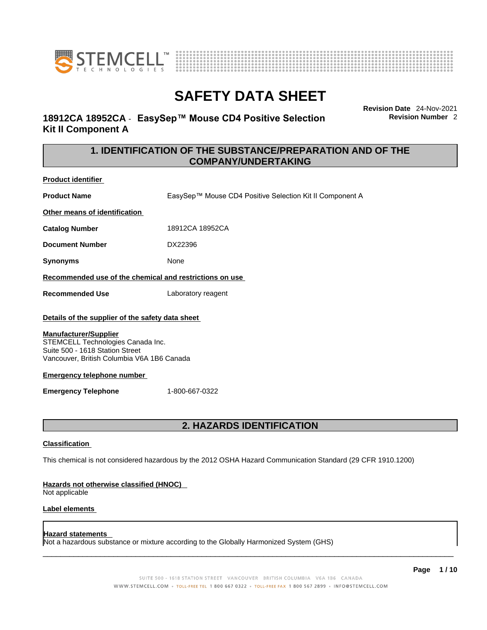



### **18912CA 18952CA** - **EasySep™ Mouse CD4 Positive Selection Kit II Component A**

**Revision Date** 24-Nov-2021 **Revision Number** 2

### **1. IDENTIFICATION OF THE SUBSTANCE/PREPARATION AND OF THE COMPANY/UNDERTAKING**

**Product identifier**

**Product Name** EasySep™ Mouse CD4 Positive Selection Kit II Component A

**Other means of identification**

**Catalog Number** 18912CA 18952CA

**Document Number** DX22396

**Synonyms** None

**Recommended use of the chemical and restrictions on use**

**Recommended Use** Laboratory reagent

### **Details of the supplier of the safety data sheet**

### **Manufacturer/Supplier**

STEMCELL Technologies Canada Inc. Suite 500 - 1618 Station Street Vancouver, British Columbia V6A 1B6 Canada

### **Emergency telephone number**

**Emergency Telephone** 1-800-667-0322

### **2. HAZARDS IDENTIFICATION**

### **Classification**

This chemical is not considered hazardous by the 2012 OSHA Hazard Communication Standard (29 CFR 1910.1200)

### **Hazards not otherwise classified (HNOC)**

Not applicable

### **Label elements**

### **Hazard statements**

Not a hazardous substance or mixture according to the Globally Harmonized System (GHS)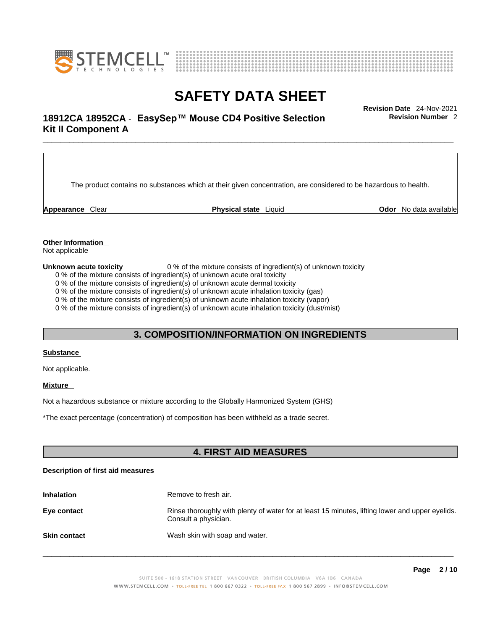



## \_\_\_\_\_\_\_\_\_\_\_\_\_\_\_\_\_\_\_\_\_\_\_\_\_\_\_\_\_\_\_\_\_\_\_\_\_\_\_\_\_\_\_\_\_\_\_\_\_\_\_\_\_\_\_\_\_\_\_\_\_\_\_\_\_\_\_\_\_\_\_\_\_\_\_\_\_\_\_\_\_\_\_\_\_\_\_\_\_\_\_\_\_ **Revision Date** 24-Nov-2021 **18912CA 18952CA** - **EasySep™ Mouse CD4 Positive Selection Kit II Component A**

The product contains no substances which at their given concentration, are considered to be hazardous to health.

**Appearance** Clear **Physical state** Liquid **Odor** No data available

**Revision Number** 2

**Other Information** 

Not applicable

**Unknown acute toxicity** 0 % of the mixture consists of ingredient(s) of unknown toxicity

0 % of the mixture consists of ingredient(s) of unknown acute oral toxicity

0 % of the mixture consists of ingredient(s) of unknown acute dermal toxicity

0 % of the mixture consists of ingredient(s) of unknown acute inhalation toxicity (gas)

0 % of the mixture consists of ingredient(s) of unknown acute inhalation toxicity (vapor)

0 % of the mixture consists of ingredient(s) of unknown acute inhalation toxicity (dust/mist)

### **3. COMPOSITION/INFORMATION ON INGREDIENTS**

#### **Substance**

Not applicable.

### **Mixture**

Not a hazardous substance or mixture according to the Globally Harmonized System (GHS)

\*The exact percentage (concentration) ofcomposition has been withheld as a trade secret.

### **4. FIRST AID MEASURES**

### **Description of first aid measures**

| <b>Inhalation</b>   | Remove to fresh air.                                                                                                    |
|---------------------|-------------------------------------------------------------------------------------------------------------------------|
| Eye contact         | Rinse thoroughly with plenty of water for at least 15 minutes, lifting lower and upper eyelids.<br>Consult a physician. |
| <b>Skin contact</b> | Wash skin with soap and water.                                                                                          |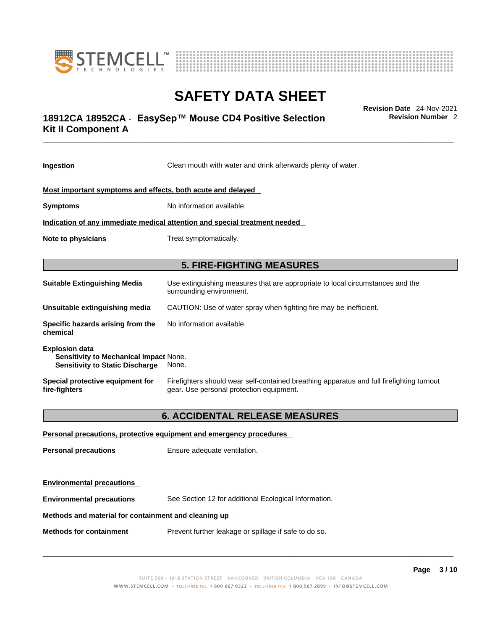



## \_\_\_\_\_\_\_\_\_\_\_\_\_\_\_\_\_\_\_\_\_\_\_\_\_\_\_\_\_\_\_\_\_\_\_\_\_\_\_\_\_\_\_\_\_\_\_\_\_\_\_\_\_\_\_\_\_\_\_\_\_\_\_\_\_\_\_\_\_\_\_\_\_\_\_\_\_\_\_\_\_\_\_\_\_\_\_\_\_\_\_\_\_ **Revision Date** 24-Nov-2021 **18912CA 18952CA** - **EasySep™ Mouse CD4 Positive Selection Kit II Component A**

**Revision Number** 2

| Ingestion                                                                                                 | Clean mouth with water and drink afterwards plenty of water.                                                                          |
|-----------------------------------------------------------------------------------------------------------|---------------------------------------------------------------------------------------------------------------------------------------|
| Most important symptoms and effects, both acute and delayed                                               |                                                                                                                                       |
| <b>Symptoms</b>                                                                                           | No information available.                                                                                                             |
|                                                                                                           | Indication of any immediate medical attention and special treatment needed                                                            |
| <b>Note to physicians</b>                                                                                 | Treat symptomatically.                                                                                                                |
|                                                                                                           | <b>5. FIRE-FIGHTING MEASURES</b>                                                                                                      |
| <b>Suitable Extinguishing Media</b>                                                                       | Use extinguishing measures that are appropriate to local circumstances and the<br>surrounding environment.                            |
| Unsuitable extinguishing media                                                                            | CAUTION: Use of water spray when fighting fire may be inefficient.                                                                    |
| Specific hazards arising from the<br>chemical                                                             | No information available.                                                                                                             |
| <b>Explosion data</b><br>Sensitivity to Mechanical Impact None.<br><b>Sensitivity to Static Discharge</b> | None.                                                                                                                                 |
| Special protective equipment for<br>fire-fighters                                                         | Firefighters should wear self-contained breathing apparatus and full firefighting turnout<br>gear. Use personal protection equipment. |
|                                                                                                           | <b>6. ACCIDENTAL RELEASE MEASURES</b>                                                                                                 |
|                                                                                                           | Personal precautions, protective equipment and emergency procedures                                                                   |
| <b>Personal precautions</b>                                                                               | Ensure adequate ventilation.                                                                                                          |
| <b>Environmental precautions</b>                                                                          |                                                                                                                                       |

**Environmental precautions** See Section 12 for additional Ecological Information.

### **Methods and material for containment and cleaning up**

**Methods for containment** Prevent further leakage or spillage if safe to do so.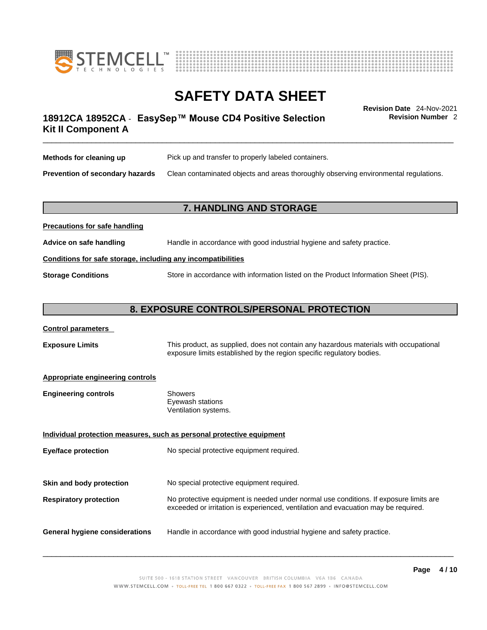



## \_\_\_\_\_\_\_\_\_\_\_\_\_\_\_\_\_\_\_\_\_\_\_\_\_\_\_\_\_\_\_\_\_\_\_\_\_\_\_\_\_\_\_\_\_\_\_\_\_\_\_\_\_\_\_\_\_\_\_\_\_\_\_\_\_\_\_\_\_\_\_\_\_\_\_\_\_\_\_\_\_\_\_\_\_\_\_\_\_\_\_\_\_ **Revision Date** 24-Nov-2021 **18912CA 18952CA** - **EasySep™ Mouse CD4 Positive Selection Kit II Component A**

**Revision Number** 2

| Methods for cleaning up         | Pick up and transfer to properly labeled containers.                                 |
|---------------------------------|--------------------------------------------------------------------------------------|
| Prevention of secondary hazards | Clean contaminated objects and areas thoroughly observing environmental regulations. |

### **7. HANDLING AND STORAGE**

| Advice on safe handling   | Handle in accordance with good industrial hygiene and safety practice.              |  |
|---------------------------|-------------------------------------------------------------------------------------|--|
|                           | Conditions for safe storage, including any incompatibilities                        |  |
| <b>Storage Conditions</b> | Store in accordance with information listed on the Product Information Sheet (PIS). |  |

### **8. EXPOSURE CONTROLS/PERSONAL PROTECTION**

### **Control parameters**

**Precautions for safe handling**

**Exposure Limits** This product, as supplied, does not contain any hazardous materials with occupational exposure limits established by the region specific regulatory bodies.

### **Appropriate engineering controls**

| Showers              |
|----------------------|
| Eyewash stations     |
| Ventilation systems. |
|                      |

**Individual protection measures, such as personal protective equipment Eye/face protection** No special protective equipment required. **Skin and body protection** No special protective equipment required. **Respiratory protection** No protective equipment is needed under normal use conditions. If exposure limits are exceeded or irritation is experienced, ventilation and evacuation may be required. **General hygiene considerations** Handle in accordance with good industrial hygiene and safety practice.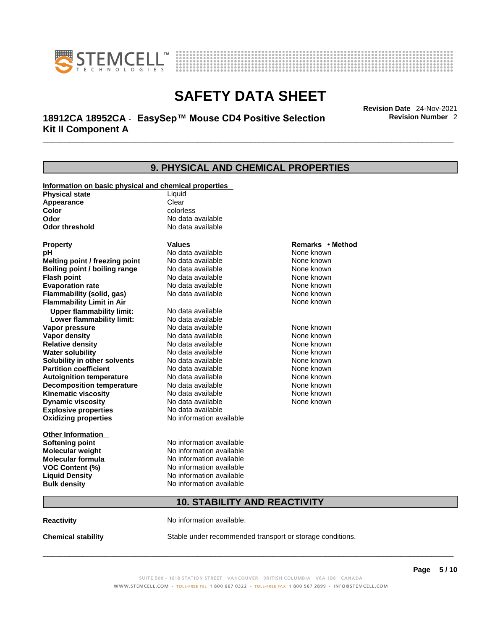



## \_\_\_\_\_\_\_\_\_\_\_\_\_\_\_\_\_\_\_\_\_\_\_\_\_\_\_\_\_\_\_\_\_\_\_\_\_\_\_\_\_\_\_\_\_\_\_\_\_\_\_\_\_\_\_\_\_\_\_\_\_\_\_\_\_\_\_\_\_\_\_\_\_\_\_\_\_\_\_\_\_\_\_\_\_\_\_\_\_\_\_\_\_ **Revision Date** 24-Nov-2021 **18912CA 18952CA** - **EasySep™ Mouse CD4 Positive Selection Kit II Component A**

**Revision Number** 2

## **9. PHYSICAL AND CHEMICAL PROPERTIES**

| Information on basic physical and chemical properties |                                     |                  |
|-------------------------------------------------------|-------------------------------------|------------------|
| <b>Physical state</b>                                 | Liquid                              |                  |
| Appearance                                            | Clear                               |                  |
| Color                                                 | colorless                           |                  |
| Odor                                                  | No data available                   |                  |
| <b>Odor threshold</b>                                 | No data available                   |                  |
| <b>Property</b>                                       | <b>Values</b>                       | Remarks • Method |
| рH                                                    | No data available                   | None known       |
| Melting point / freezing point                        | No data available                   | None known       |
| Boiling point / boiling range                         | No data available                   | None known       |
| <b>Flash point</b>                                    | No data available                   | None known       |
| <b>Evaporation rate</b>                               | No data available                   | None known       |
| Flammability (solid, gas)                             | No data available                   | None known       |
| <b>Flammability Limit in Air</b>                      |                                     | None known       |
| <b>Upper flammability limit:</b>                      | No data available                   |                  |
| Lower flammability limit:                             | No data available                   |                  |
| Vapor pressure                                        | No data available                   | None known       |
| <b>Vapor density</b>                                  | No data available                   | None known       |
| <b>Relative density</b>                               | No data available                   | None known       |
| <b>Water solubility</b>                               | No data available                   | None known       |
| Solubility in other solvents                          | No data available                   | None known       |
| <b>Partition coefficient</b>                          | No data available                   | None known       |
| <b>Autoignition temperature</b>                       | No data available                   | None known       |
| <b>Decomposition temperature</b>                      | No data available                   | None known       |
| <b>Kinematic viscosity</b>                            | No data available                   | None known       |
| <b>Dynamic viscosity</b>                              | No data available                   | None known       |
| <b>Explosive properties</b>                           | No data available                   |                  |
| <b>Oxidizing properties</b>                           | No information available            |                  |
| <b>Other Information</b>                              |                                     |                  |
| <b>Softening point</b>                                | No information available            |                  |
| <b>Molecular weight</b>                               | No information available            |                  |
| <b>Molecular formula</b>                              | No information available            |                  |
| <b>VOC Content (%)</b>                                | No information available            |                  |
| <b>Liquid Density</b>                                 | No information available            |                  |
| <b>Bulk density</b>                                   | No information available            |                  |
|                                                       | <b>10. STABILITY AND REACTIVITY</b> |                  |

**Reactivity No information available.** 

**Chemical stability** Stable under recommended transport or storage conditions.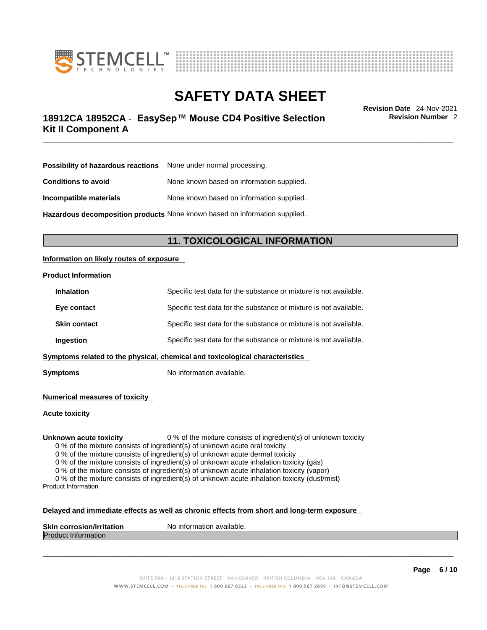



## \_\_\_\_\_\_\_\_\_\_\_\_\_\_\_\_\_\_\_\_\_\_\_\_\_\_\_\_\_\_\_\_\_\_\_\_\_\_\_\_\_\_\_\_\_\_\_\_\_\_\_\_\_\_\_\_\_\_\_\_\_\_\_\_\_\_\_\_\_\_\_\_\_\_\_\_\_\_\_\_\_\_\_\_\_\_\_\_\_\_\_\_\_ **Revision Date** 24-Nov-2021 **18912CA 18952CA** - **EasySep™ Mouse CD4 Positive Selection Kit II Component A**

**Revision Number** 2

| <b>Possibility of hazardous reactions</b> None under normal processing. |                                           |
|-------------------------------------------------------------------------|-------------------------------------------|
| <b>Conditions to avoid</b>                                              | None known based on information supplied. |
| Incompatible materials                                                  | None known based on information supplied. |
|                                                                         |                                           |

**Hazardous decomposition products** None known based on information supplied.

### **11. TOXICOLOGICAL INFORMATION**

### **Information on likely routes of exposure**

### **Product Information**

| <b>Inhalation</b>   | Specific test data for the substance or mixture is not available.            |
|---------------------|------------------------------------------------------------------------------|
| Eye contact         | Specific test data for the substance or mixture is not available.            |
| <b>Skin contact</b> | Specific test data for the substance or mixture is not available.            |
| Ingestion           | Specific test data for the substance or mixture is not available.            |
|                     | Symptoms related to the physical, chemical and toxicological characteristics |

**Symptoms** No information available.

**Numerical measures of toxicity**

**Acute toxicity**

**Unknown acute toxicity** 0 % of the mixture consists of ingredient(s) of unknown toxicity

0 % of the mixture consists of ingredient(s) of unknown acute oral toxicity

0 % of the mixture consists of ingredient(s) of unknown acute dermal toxicity

0 % of the mixture consists of ingredient(s) of unknown acute inhalation toxicity (gas)

0 % of the mixture consists of ingredient(s) of unknown acute inhalation toxicity (vapor)

0 % of the mixture consists of ingredient(s) of unknown acute inhalation toxicity (dust/mist) Product Information

#### **Delayed and immediate effects as well as chronic effects from short and long-term exposure**

| <b>Skin</b><br><b>Virritation</b><br>Nο<br>. corros | inform<br>mation available. |
|-----------------------------------------------------|-----------------------------|
| Proo<br>nauon                                       |                             |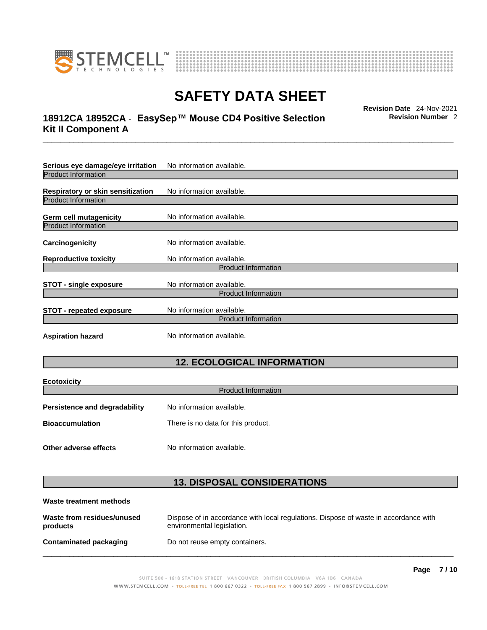



## \_\_\_\_\_\_\_\_\_\_\_\_\_\_\_\_\_\_\_\_\_\_\_\_\_\_\_\_\_\_\_\_\_\_\_\_\_\_\_\_\_\_\_\_\_\_\_\_\_\_\_\_\_\_\_\_\_\_\_\_\_\_\_\_\_\_\_\_\_\_\_\_\_\_\_\_\_\_\_\_\_\_\_\_\_\_\_\_\_\_\_\_\_ **Revision Date** 24-Nov-2021 **18912CA 18952CA** - **EasySep™ Mouse CD4 Positive Selection Kit II Component A**

**Revision Number** 2

| Serious eye damage/eye irritation | No information available.  |
|-----------------------------------|----------------------------|
| <b>Product Information</b>        |                            |
| Respiratory or skin sensitization | No information available.  |
| <b>Product Information</b>        |                            |
| Germ cell mutagenicity            | No information available.  |
| <b>Product Information</b>        |                            |
| Carcinogenicity                   | No information available.  |
| <b>Reproductive toxicity</b>      | No information available.  |
|                                   | <b>Product Information</b> |
| <b>STOT - single exposure</b>     | No information available.  |
|                                   | <b>Product Information</b> |
| <b>STOT - repeated exposure</b>   | No information available.  |
|                                   | <b>Product Information</b> |
| <b>Aspiration hazard</b>          | No information available.  |

### **12. ECOLOGICAL INFORMATION**

| <b>Ecotoxicity</b>            |                                    |
|-------------------------------|------------------------------------|
| <b>Product Information</b>    |                                    |
| Persistence and degradability | No information available.          |
| <b>Bioaccumulation</b>        | There is no data for this product. |
| Other adverse effects         | No information available.          |

### **13. DISPOSAL CONSIDERATIONS**

| Waste treatment methods                |                                                                                                                    |
|----------------------------------------|--------------------------------------------------------------------------------------------------------------------|
| Waste from residues/unused<br>products | Dispose of in accordance with local regulations. Dispose of waste in accordance with<br>environmental legislation. |
| Contaminated packaging                 | Do not reuse empty containers.                                                                                     |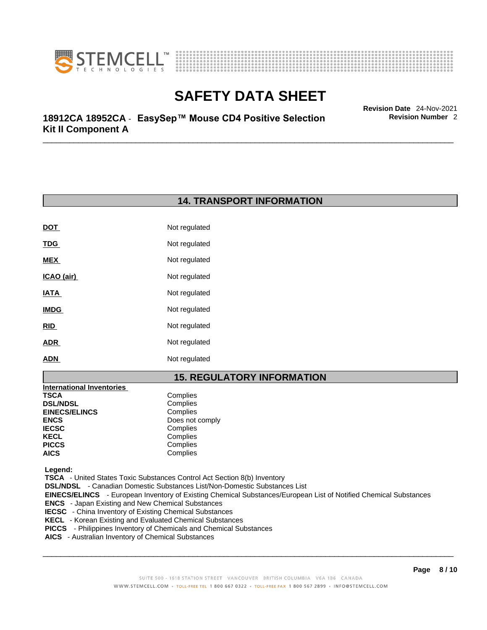



\_\_\_\_\_\_\_\_\_\_\_\_\_\_\_\_\_\_\_\_\_\_\_\_\_\_\_\_\_\_\_\_\_\_\_\_\_\_\_\_\_\_\_\_\_\_\_\_\_\_\_\_\_\_\_\_\_\_\_\_\_\_\_\_\_\_\_\_\_\_\_\_\_\_\_\_\_\_\_\_\_\_\_\_\_\_\_\_\_\_\_\_\_ **Revision Date** 24-Nov-2021 **18912CA 18952CA** - **EasySep™ Mouse CD4 Positive Selection Kit II Component A**

### **14. TRANSPORT INFORMATION**

| <b>DOT</b>  | Not regulated |
|-------------|---------------|
| <b>TDG</b>  | Not regulated |
| <b>MEX</b>  | Not regulated |
| ICAO (air)  | Not regulated |
| <b>IATA</b> | Not regulated |
| <b>IMDG</b> | Not regulated |
| <b>RID</b>  | Not regulated |
| <b>ADR</b>  | Not regulated |
| <b>ADN</b>  | Not regulated |

### **15. REGULATORY INFORMATION**

| <b>International Inventories</b> |                 |
|----------------------------------|-----------------|
| TSCA                             | Complies        |
| <b>DSL/NDSL</b>                  | Complies        |
| <b>EINECS/ELINCS</b>             | Complies        |
| ENCS                             | Does not comply |
| <b>IECSC</b>                     | Complies        |
| KECL                             | Complies        |
| PICCS                            | Complies        |
| AICS                             | Complies        |
|                                  |                 |

 **Legend:** 

 **TSCA** - United States Toxic Substances Control Act Section 8(b) Inventory

 **DSL/NDSL** - Canadian Domestic Substances List/Non-Domestic Substances List

 **EINECS/ELINCS** - European Inventory of Existing Chemical Substances/European List of Notified Chemical Substances

- **ENCS**  Japan Existing and New Chemical Substances
- **IECSC**  China Inventory of Existing Chemical Substances
- **KECL**  Korean Existing and Evaluated Chemical Substances
- **PICCS**  Philippines Inventory of Chemicals and Chemical Substances
- **AICS**  Australian Inventory of Chemical Substances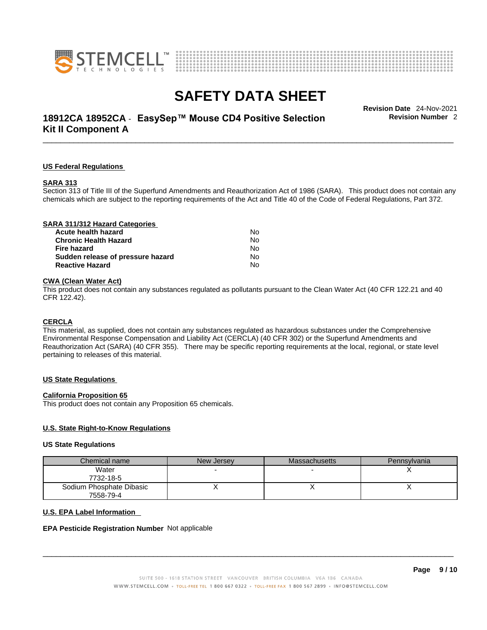



## \_\_\_\_\_\_\_\_\_\_\_\_\_\_\_\_\_\_\_\_\_\_\_\_\_\_\_\_\_\_\_\_\_\_\_\_\_\_\_\_\_\_\_\_\_\_\_\_\_\_\_\_\_\_\_\_\_\_\_\_\_\_\_\_\_\_\_\_\_\_\_\_\_\_\_\_\_\_\_\_\_\_\_\_\_\_\_\_\_\_\_\_\_ **Revision Date** 24-Nov-2021 **18912CA 18952CA** - **EasySep™ Mouse CD4 Positive Selection Kit II Component A**

**Revision Number** 2

#### **US Federal Regulations**

#### **SARA 313**

Section 313 of Title III of the Superfund Amendments and Reauthorization Act of 1986 (SARA). This product does not contain any chemicals which are subject to the reporting requirements of the Act and Title 40 of the Code of Federal Regulations, Part 372.

### **CWA** (Clean Water Act)

This product does not contain any substances regulated as pollutants pursuant to the Clean Water Act (40 CFR 122.21 and 40 CFR 122.42).

#### **CERCLA**

This material, as supplied, does not contain any substances regulated as hazardous substances under the Comprehensive Environmental Response Compensation and Liability Act (CERCLA) (40 CFR 302) or the Superfund Amendments and Reauthorization Act (SARA) (40 CFR 355). There may be specific reporting requirements at the local, regional, or state level pertaining to releases of this material.

#### **US State Regulations**

#### **California Proposition 65**

This product does not contain any Proposition 65 chemicals.

### **U.S. State Right-to-Know Regulations**

#### **US State Regulations**

| Chemical name            | New Jersey | <b>Massachusetts</b> | Pennsylvania |
|--------------------------|------------|----------------------|--------------|
| Water                    |            |                      |              |
| 7732-18-5                |            |                      |              |
| Sodium Phosphate Dibasic |            |                      |              |
| 7558-79-4                |            |                      |              |

#### **U.S. EPA Label Information**

#### **EPA Pesticide Registration Number** Not applicable